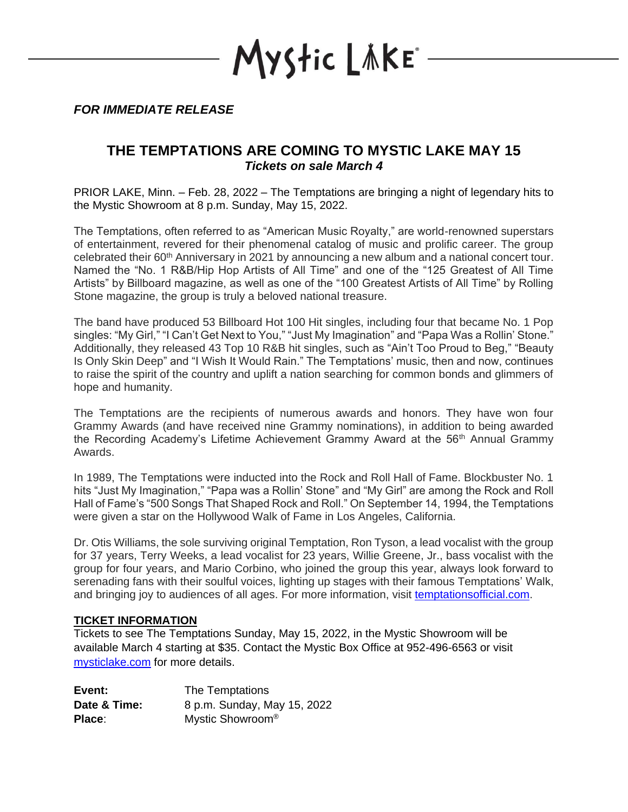YStic LÄKE\*

*FOR IMMEDIATE RELEASE*

## **THE TEMPTATIONS ARE COMING TO MYSTIC LAKE MAY 15** *Tickets on sale March 4*

PRIOR LAKE, Minn. – Feb. 28, 2022 – The Temptations are bringing a night of legendary hits to the Mystic Showroom at 8 p.m. Sunday, May 15, 2022.

The Temptations, often referred to as "American Music Royalty," are world-renowned superstars of entertainment, revered for their phenomenal catalog of music and prolific career. The group celebrated their 60<sup>th</sup> Anniversary in 2021 by announcing a new album and a national concert tour. Named the "No. 1 R&B/Hip Hop Artists of All Time" and one of the "125 Greatest of All Time Artists" by Billboard magazine, as well as one of the "100 Greatest Artists of All Time" by Rolling Stone magazine, the group is truly a beloved national treasure.

The band have produced 53 Billboard Hot 100 Hit singles, including four that became No. 1 Pop singles: "My Girl," "I Can't Get Next to You," "Just My Imagination" and "Papa Was a Rollin' Stone." Additionally, they released 43 Top 10 R&B hit singles, such as "Ain't Too Proud to Beg," "Beauty Is Only Skin Deep" and "I Wish It Would Rain." The Temptations' music, then and now, continues to raise the spirit of the country and uplift a nation searching for common bonds and glimmers of hope and humanity.

The Temptations are the recipients of numerous awards and honors. They have won four Grammy Awards (and have received nine Grammy nominations), in addition to being awarded the Recording Academy's Lifetime Achievement Grammy Award at the 56<sup>th</sup> Annual Grammy Awards.

In 1989, The Temptations were inducted into the Rock and Roll Hall of Fame. Blockbuster No. 1 hits "Just My Imagination," "Papa was a Rollin' Stone" and "My Girl" are among the Rock and Roll Hall of Fame's "500 Songs That Shaped Rock and Roll." On September 14, 1994, the Temptations were given a star on the Hollywood Walk of Fame in Los Angeles, California.

Dr. Otis Williams, the sole surviving original Temptation, Ron Tyson, a lead vocalist with the group for 37 years, Terry Weeks, a lead vocalist for 23 years, Willie Greene, Jr., bass vocalist with the group for four years, and Mario Corbino, who joined the group this year, always look forward to serenading fans with their soulful voices, lighting up stages with their famous Temptations' Walk, and bringing joy to audiences of all ages. For more information, visit [temptationsofficial.com.](http://www.temptationsofficial.com/)

## **TICKET INFORMATION**

Tickets to see The Temptations Sunday, May 15, 2022, in the Mystic Showroom will be available March 4 starting at \$35. Contact the Mystic Box Office at 952-496-6563 or visit [mysticlake.com](http://www.mysticlake.com/) for more details.

| Event:       | The Temptations              |
|--------------|------------------------------|
| Date & Time: | 8 p.m. Sunday, May 15, 2022  |
| Place:       | Mystic Showroom <sup>®</sup> |